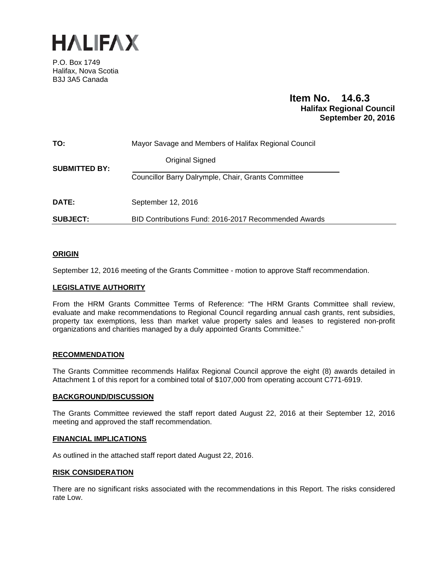

P.O. Box 1749 Halifax, Nova Scotia B3J 3A5 Canada

# **Item No. 14.6.3 Halifax Regional Council September 20, 2016**

| TO:                  | Mayor Savage and Members of Halifax Regional Council |  |
|----------------------|------------------------------------------------------|--|
| <b>SUBMITTED BY:</b> | Original Signed                                      |  |
|                      | Councillor Barry Dalrymple, Chair, Grants Committee  |  |
| <b>DATE:</b>         | September 12, 2016                                   |  |
| <b>SUBJECT:</b>      | BID Contributions Fund: 2016-2017 Recommended Awards |  |

# **ORIGIN**

September 12, 2016 meeting of the Grants Committee - motion to approve Staff recommendation.

#### **LEGISLATIVE AUTHORITY**

From the HRM Grants Committee Terms of Reference: "The HRM Grants Committee shall review, evaluate and make recommendations to Regional Council regarding annual cash grants, rent subsidies, property tax exemptions, less than market value property sales and leases to registered non-profit organizations and charities managed by a duly appointed Grants Committee."

#### **RECOMMENDATION**

The Grants Committee recommends Halifax Regional Council approve the eight (8) awards detailed in Attachment 1 of this report for a combined total of \$107,000 from operating account C771-6919.

#### **BACKGROUND/DISCUSSION**

The Grants Committee reviewed the staff report dated August 22, 2016 at their September 12, 2016 meeting and approved the staff recommendation.

#### **FINANCIAL IMPLICATIONS**

As outlined in the attached staff report dated August 22, 2016.

#### **RISK CONSIDERATION**

There are no significant risks associated with the recommendations in this Report. The risks considered rate Low.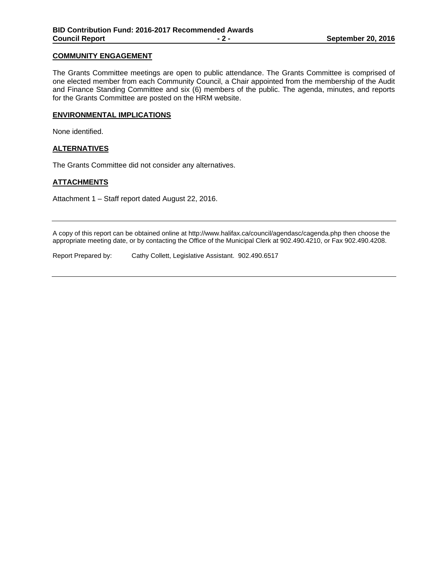# **COMMUNITY ENGAGEMENT**

The Grants Committee meetings are open to public attendance. The Grants Committee is comprised of one elected member from each Community Council, a Chair appointed from the membership of the Audit and Finance Standing Committee and six (6) members of the public. The agenda, minutes, and reports for the Grants Committee are posted on the HRM website.

# **ENVIRONMENTAL IMPLICATIONS**

None identified.

# **ALTERNATIVES**

The Grants Committee did not consider any alternatives.

# **ATTACHMENTS**

Attachment 1 – Staff report dated August 22, 2016.

A copy of this report can be obtained online at http://www.halifax.ca/council/agendasc/cagenda.php then choose the appropriate meeting date, or by contacting the Office of the Municipal Clerk at 902.490.4210, or Fax 902.490.4208.

Report Prepared by: Cathy Collett, Legislative Assistant. 902.490.6517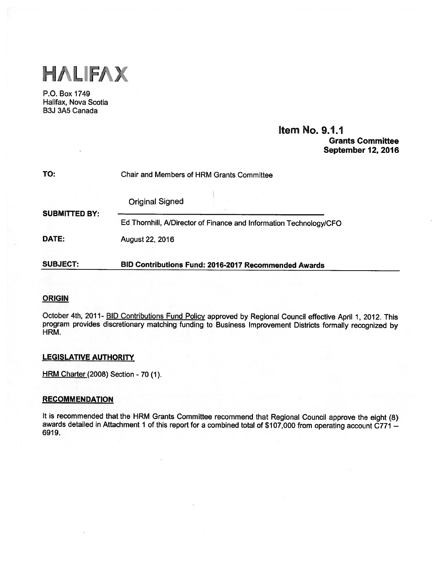

P.O. Box 1749 Halifax, Nova Scotia B3J 3A5 Canada

# Item No. 9.1.1 Grants Committee September 12, 2016

| TO:                  | Chair and Members of HRM Grants Committee                          |  |  |
|----------------------|--------------------------------------------------------------------|--|--|
|                      | <b>Original Signed</b>                                             |  |  |
| <b>SUBMITTED BY:</b> | Ed Thornhill, A/Director of Finance and Information Technology/CFO |  |  |
| DATE:                | August 22, 2016                                                    |  |  |
| <b>SUBJECT:</b>      | BID Contributions Fund: 2016-2017 Recommended Awards               |  |  |

# ORIGIN

October 4th, 2011- BID Contributions Fund Policy approve<sup>d</sup> by Regional Council effective April 1, 2012. This program provides discretionary matching funding to Business Improvement Districts formally recognized by HRM.

#### LEGISLATIVE AUTHORITY

HRM Charter (2008) Section - 70 (1).

#### **RECOMMENDATION**

It is recommended that the HRM Grants Committee recommend that Regional Council approve the eight (8) awards detailed in Attachment 1 of this report for a combined total of \$107,000 from operating account C771 -6919.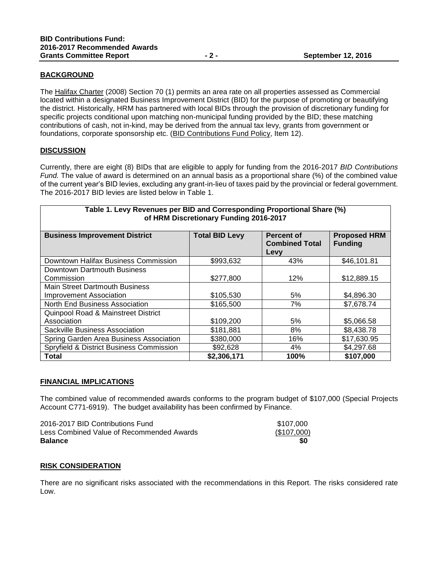# **BACKGROUND**

The Halifax Charter (2008) Section 70 (1) permits an area rate on all properties assessed as Commercial located within a designated Business Improvement District (BID) for the purpose of promoting or beautifying the district. Historically, HRM has partnered with local BIDs through the provision of discretionary funding for specific projects conditional upon matching non-municipal funding provided by the BID; these matching contributions of cash, not in-kind, may be derived from the annual tax levy, grants from government or foundations, corporate sponsorship etc. (BID Contributions Fund Policy, Item 12).

# **DISCUSSION**

Currently, there are eight (8) BIDs that are eligible to apply for funding from the 2016-2017 *BID Contributions Fund.* The value of award is determined on an annual basis as a proportional share (%) of the combined value of the current year's BID levies, excluding any grant-in-lieu of taxes paid by the provincial or federal government. The 2016-2017 BID levies are listed below in Table 1.

| Table 1. Levy Revenues per BID and Corresponding Proportional Share (%)<br>of HRM Discretionary Funding 2016-2017 |                       |                                                    |                                       |
|-------------------------------------------------------------------------------------------------------------------|-----------------------|----------------------------------------------------|---------------------------------------|
| <b>Business Improvement District</b>                                                                              | <b>Total BID Levy</b> | <b>Percent of</b><br><b>Combined Total</b><br>Levy | <b>Proposed HRM</b><br><b>Funding</b> |
| Downtown Halifax Business Commission                                                                              | \$993,632             | 43%                                                | \$46,101.81                           |
| Downtown Dartmouth Business                                                                                       |                       |                                                    |                                       |
| Commission                                                                                                        | \$277,800             | 12%                                                | \$12,889.15                           |
| <b>Main Street Dartmouth Business</b>                                                                             |                       |                                                    |                                       |
| <b>Improvement Association</b>                                                                                    | \$105,530             | 5%                                                 | \$4,896.30                            |
| North End Business Association                                                                                    | \$165,500             | 7%                                                 | \$7,678.74                            |
| Quinpool Road & Mainstreet District                                                                               |                       |                                                    |                                       |
| Association                                                                                                       | \$109,200             | 5%                                                 | \$5,066.58                            |
| Sackville Business Association                                                                                    | \$181,881             | 8%                                                 | \$8,438.78                            |
| Spring Garden Area Business Association                                                                           | \$380,000             | 16%                                                | \$17,630.95                           |
| Spryfield & District Business Commission                                                                          | \$92,628              | 4%                                                 | \$4,297.68                            |
| Total                                                                                                             | \$2,306,171           | 100%                                               | \$107,000                             |

# **FINANCIAL IMPLICATIONS**

The combined value of recommended awards conforms to the program budget of \$107,000 (Special Projects Account C771-6919). The budget availability has been confirmed by Finance.

| <b>Balance</b>                            | \$0         |
|-------------------------------------------|-------------|
| Less Combined Value of Recommended Awards | (\$107,000) |
| 2016-2017 BID Contributions Fund          | \$107,000   |

# **RISK CONSIDERATION**

There are no significant risks associated with the recommendations in this Report. The risks considered rate Low.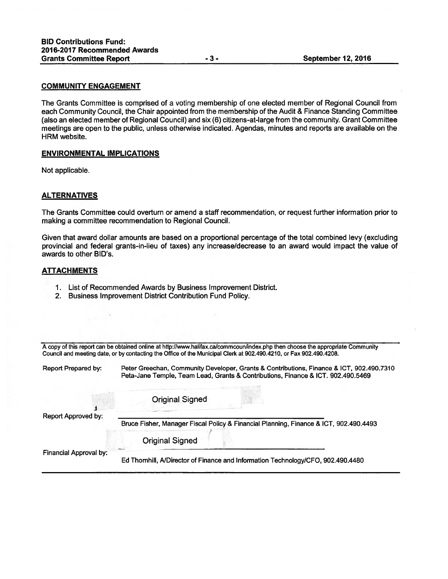#### COMMUNITY ENGAGEMENT

The Grants Committee is comprised of <sup>a</sup> voting membership of one elected member of Regional Council from each Community Council, the Chair appointed from the membership of the Audit & Finance Standing Committee (also an elected member of Regional Council) and six (6) citizens-at-large from the community. Grant Committee meetings are open to the public, unless otherwise indicated. Agendas, minutes and reports are available on the HRM website.

# ENVIRONMENTAL IMPLICATIONS

Not applicable.

#### **ALTERNATIVES**

The Grants Committee could overturn or amend <sup>a</sup> staff recommendation, or reques<sup>t</sup> further information prior to making <sup>a</sup> committee recommendation to Regional Council.

Given that award dollar amounts are based on <sup>a</sup> proportional percentage of the total combined levy (excluding provincial and federal grants-in-lieu of taxes) any increase/decrease to an award would impact the value of awards to other BID's.

# ATTACHMENTS

- 1. List of Recommended Awards by Business Improvement District.
- 2. Business Improvement District Contribution Fund Policy.

| A copy of this report can be obtained online at http://www.halifax.ca/commcoun/index.php then choose the appropriate Community |  |
|--------------------------------------------------------------------------------------------------------------------------------|--|
| Council and meeting date, or by contacting the Office of the Municipal Clerk at 902.490.4210, or Fax 902.490.4208.             |  |

Report Prepared by: Peter Greechan, Community Developer, Grants & Contributions, Finance & ICT, 902.490.7310 Peta-Jane Temple, Team Lead, Grants & Contributions, Finance & ICT. 902.490.5469

**Original Signed** 

Report Approved by:

Bruce Fisher, Manager Fiscal Policy & Financial Planning, Finance & ICT, 902.490.4493

Original Signed

Financial Approval by:

Ed Thornhill, AlDirector of Finance and Information Technology/CFO, 902.490.4480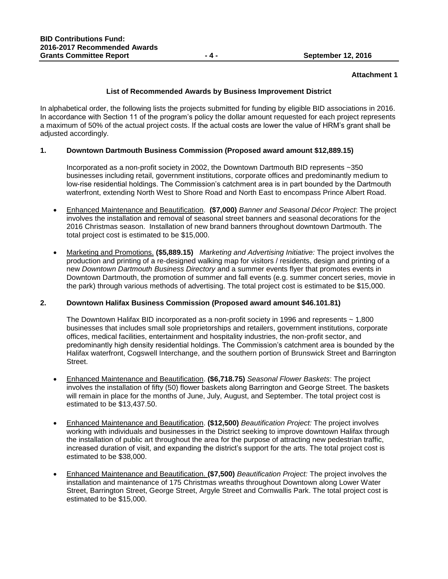#### **Attachment 1**

# **List of Recommended Awards by Business Improvement District**

In alphabetical order, the following lists the projects submitted for funding by eligible BID associations in 2016. In accordance with Section 11 of the program's policy the dollar amount requested for each project represents a maximum of 50% of the actual project costs. If the actual costs are lower the value of HRM's grant shall be adjusted accordingly.

# **1. Downtown Dartmouth Business Commission (Proposed award amount \$12,889.15)**

Incorporated as a non-profit society in 2002, the Downtown Dartmouth BID represents ~350 businesses including retail, government institutions, corporate offices and predominantly medium to low-rise residential holdings. The Commission's catchment area is in part bounded by the Dartmouth waterfront, extending North West to Shore Road and North East to encompass Prince Albert Road.

- Enhanced Maintenance and Beautification. **(\$7,000)** *Banner and Seasonal Décor Project*: The project involves the installation and removal of seasonal street banners and seasonal decorations for the 2016 Christmas season. Installation of new brand banners throughout downtown Dartmouth. The total project cost is estimated to be \$15,000.
- Marketing and Promotions. **(\$5,889.15)** *Marketing and Advertising Initiative:* The project involves the production and printing of a re-designed walking map for visitors / residents, design and printing of a new *Downtown Dartmouth Business Directory* and a summer events flyer that promotes events in Downtown Dartmouth, the promotion of summer and fall events (e.g. summer concert series, movie in the park) through various methods of advertising. The total project cost is estimated to be \$15,000.

#### **2. Downtown Halifax Business Commission (Proposed award amount \$46.101.81)**

The Downtown Halifax BID incorporated as a non-profit society in 1996 and represents ~ 1,800 businesses that includes small sole proprietorships and retailers, government institutions, corporate offices, medical facilities, entertainment and hospitality industries, the non-profit sector, and predominantly high density residential holdings. The Commission's catchment area is bounded by the Halifax waterfront, Cogswell Interchange, and the southern portion of Brunswick Street and Barrington Street.

- Enhanced Maintenance and Beautification. **(\$6,718.75)** *Seasonal Flower Baskets*: The project involves the installation of fifty (50) flower baskets along Barrington and George Street. The baskets will remain in place for the months of June, July, August, and September. The total project cost is estimated to be \$13,437.50.
- Enhanced Maintenance and Beautification. **(\$12,500)** *Beautification Project:* The project involves working with individuals and businesses in the District seeking to improve downtown Halifax through the installation of public art throughout the area for the purpose of attracting new pedestrian traffic, increased duration of visit, and expanding the district's support for the arts. The total project cost is estimated to be \$38,000.
- Enhanced Maintenance and Beautification. **(\$7,500)** *Beautification Project:* The project involves the installation and maintenance of 175 Christmas wreaths throughout Downtown along Lower Water Street, Barrington Street, George Street, Argyle Street and Cornwallis Park. The total project cost is estimated to be \$15,000.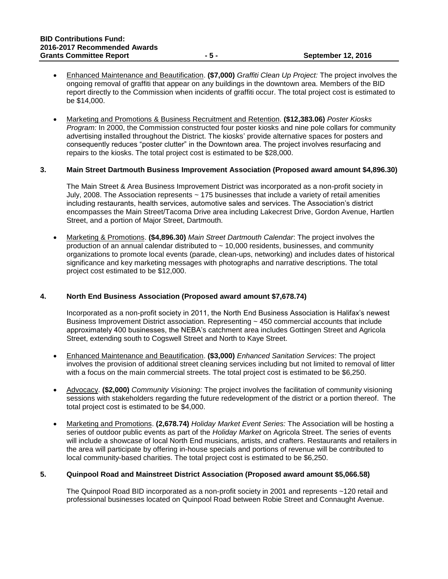- Enhanced Maintenance and Beautification. **(\$7,000)** *Graffiti Clean Up Project:* The project involves the ongoing removal of graffiti that appear on any buildings in the downtown area. Members of the BID report directly to the Commission when incidents of graffiti occur. The total project cost is estimated to be \$14,000.
- Marketing and Promotions & Business Recruitment and Retention. **(\$12,383.06)** *Poster Kiosks Program:* In 2000, the Commission constructed four poster kiosks and nine pole collars for community advertising installed throughout the District. The kiosks' provide alternative spaces for posters and consequently reduces "poster clutter" in the Downtown area. The project involves resurfacing and repairs to the kiosks. The total project cost is estimated to be \$28,000.

#### **3. Main Street Dartmouth Business Improvement Association (Proposed award amount \$4,896.30)**

The Main Street & Area Business Improvement District was incorporated as a non-profit society in July, 2008. The Association represents ~ 175 businesses that include a variety of retail amenities including restaurants, health services, automotive sales and services. The Association's district encompasses the Main Street/Tacoma Drive area including Lakecrest Drive, Gordon Avenue, Hartlen Street, and a portion of Major Street, Dartmouth.

 Marketing & Promotions. **(\$4,896.30)** *Main Street Dartmouth Calendar*: The project involves the production of an annual calendar distributed to  $\sim$  10,000 residents, businesses, and community organizations to promote local events (parade, clean-ups, networking) and includes dates of historical significance and key marketing messages with photographs and narrative descriptions. The total project cost estimated to be \$12,000.

# **4. North End Business Association (Proposed award amount \$7,678.74)**

Incorporated as a non-profit society in 2011, the North End Business Association is Halifax's newest Business Improvement District association. Representing ~ 450 commercial accounts that include approximately 400 businesses, the NEBA's catchment area includes Gottingen Street and Agricola Street, extending south to Cogswell Street and North to Kaye Street.

- Enhanced Maintenance and Beautification. **(\$3,000)** *Enhanced Sanitation Services*: The project involves the provision of additional street cleaning services including but not limited to removal of litter with a focus on the main commercial streets. The total project cost is estimated to be \$6,250.
- Advocacy. **(\$2,000)** *Community Visioning:* The project involves the facilitation of community visioning sessions with stakeholders regarding the future redevelopment of the district or a portion thereof. The total project cost is estimated to be \$4,000.
- Marketing and Promotions. **(2,678.74)** *Holiday Market Event Series:* The Association will be hosting a series of outdoor public events as part of the *Holiday Market* on Agricola Street. The series of events will include a showcase of local North End musicians, artists, and crafters. Restaurants and retailers in the area will participate by offering in-house specials and portions of revenue will be contributed to local community-based charities. The total project cost is estimated to be \$6,250.

# **5. Quinpool Road and Mainstreet District Association (Proposed award amount \$5,066.58)**

The Quinpool Road BID incorporated as a non-profit society in 2001 and represents ~120 retail and professional businesses located on Quinpool Road between Robie Street and Connaught Avenue.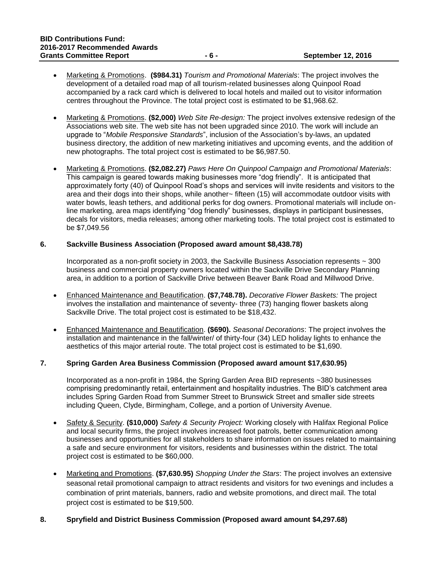- Marketing & Promotions. **(\$984.31)** *Tourism and Promotional Materials*: The project involves the development of a detailed road map of all tourism-related businesses along Quinpool Road accompanied by a rack card which is delivered to local hotels and mailed out to visitor information centres throughout the Province. The total project cost is estimated to be \$1,968.62.
- Marketing & Promotions. **(\$2,000)** *Web Site Re-design:* The project involves extensive redesign of the Associations web site. The web site has not been upgraded since 2010. The work will include an upgrade to "*Mobile Responsive Standards*", inclusion of the Association's by-laws, an updated business directory, the addition of new marketing initiatives and upcoming events, and the addition of new photographs. The total project cost is estimated to be \$6,987.50.
- Marketing & Promotions. **(\$2,082.27)** *Paws Here On Quinpool Campaign and Promotional Materials*: This campaign is geared towards making businesses more "dog friendly". It is anticipated that approximately forty (40) of Quinpool Road's shops and services will invite residents and visitors to the area and their dogs into their shops, while another~ fifteen (15) will accommodate outdoor visits with water bowls, leash tethers, and additional perks for dog owners. Promotional materials will include online marketing, area maps identifying "dog friendly" businesses, displays in participant businesses, decals for visitors, media releases; among other marketing tools. The total project cost is estimated to be \$7,049.56

#### **6. Sackville Business Association (Proposed award amount \$8,438.78)**

Incorporated as a non-profit society in 2003, the Sackville Business Association represents ~ 300 business and commercial property owners located within the Sackville Drive Secondary Planning area, in addition to a portion of Sackville Drive between Beaver Bank Road and Millwood Drive.

- Enhanced Maintenance and Beautification. **(\$7,748.78).** *Decorative Flower Baskets:* The project involves the installation and maintenance of seventy- three (73) hanging flower baskets along Sackville Drive. The total project cost is estimated to be \$18,432.
- Enhanced Maintenance and Beautification. **(\$690).** *Seasonal Decorations*: The project involves the installation and maintenance in the fall/winter/ of thirty-four (34) LED holiday lights to enhance the aesthetics of this major arterial route. The total project cost is estimated to be \$1,690.

# **7. Spring Garden Area Business Commission (Proposed award amount \$17,630.95)**

Incorporated as a non-profit in 1984, the Spring Garden Area BID represents ~380 businesses comprising predominantly retail, entertainment and hospitality industries. The BID's catchment area includes Spring Garden Road from Summer Street to Brunswick Street and smaller side streets including Queen, Clyde, Birmingham, College, and a portion of University Avenue.

- Safety & Security. **(\$10,000)** *Safety & Security Project:* Working closely with Halifax Regional Police and local security firms, the project involves increased foot patrols, better communication among businesses and opportunities for all stakeholders to share information on issues related to maintaining a safe and secure environment for visitors, residents and businesses within the district. The total project cost is estimated to be \$60,000.
- Marketing and Promotions. **(\$7,630.95)** *Shopping Under the Stars*: The project involves an extensive seasonal retail promotional campaign to attract residents and visitors for two evenings and includes a combination of print materials, banners, radio and website promotions, and direct mail. The total project cost is estimated to be \$19,500.

# **8. Spryfield and District Business Commission (Proposed award amount \$4,297.68)**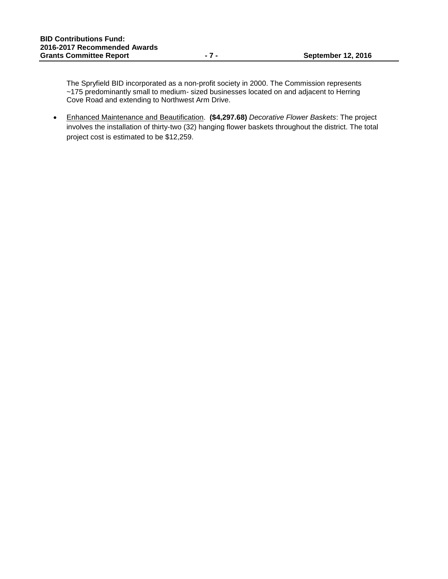The Spryfield BID incorporated as a non-profit society in 2000. The Commission represents ~175 predominantly small to medium- sized businesses located on and adjacent to Herring Cove Road and extending to Northwest Arm Drive.

 Enhanced Maintenance and Beautification. **(\$4,297.68)** *Decorative Flower Baskets*: The project involves the installation of thirty-two (32) hanging flower baskets throughout the district. The total project cost is estimated to be \$12,259.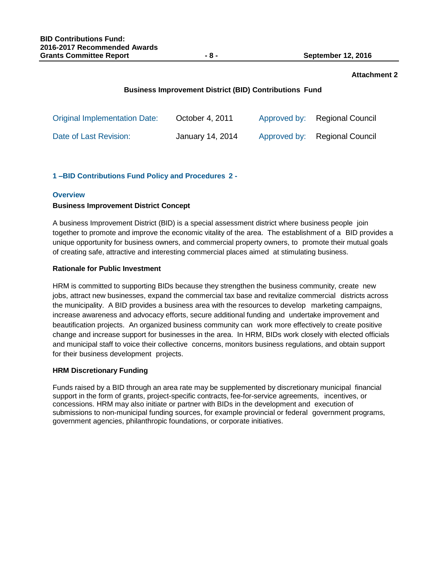# **Attachment 2**

# **Business Improvement District (BID) Contributions Fund**

| <b>Original Implementation Date:</b> | October 4, 2011  | Approved by: Regional Council |
|--------------------------------------|------------------|-------------------------------|
| Date of Last Revision:               | January 14, 2014 | Approved by: Regional Council |

# **1 –BID Contributions Fund Policy and Procedures 2 -**

# **Overview**

#### **Business Improvement District Concept**

A business Improvement District (BID) is a special assessment district where business people join together to promote and improve the economic vitality of the area. The establishment of a BID provides a unique opportunity for business owners, and commercial property owners, to promote their mutual goals of creating safe, attractive and interesting commercial places aimed at stimulating business.

# **Rationale for Public Investment**

HRM is committed to supporting BIDs because they strengthen the business community, create new jobs, attract new businesses, expand the commercial tax base and revitalize commercial districts across the municipality. A BID provides a business area with the resources to develop marketing campaigns, increase awareness and advocacy efforts, secure additional funding and undertake improvement and beautification projects. An organized business community can work more effectively to create positive change and increase support for businesses in the area. In HRM, BIDs work closely with elected officials and municipal staff to voice their collective concerns, monitors business regulations, and obtain support for their business development projects.

# **HRM Discretionary Funding**

Funds raised by a BID through an area rate may be supplemented by discretionary municipal financial support in the form of grants, project-specific contracts, fee-for-service agreements, incentives, or concessions. HRM may also initiate or partner with BIDs in the development and execution of submissions to non-municipal funding sources, for example provincial or federal government programs, government agencies, philanthropic foundations, or corporate initiatives.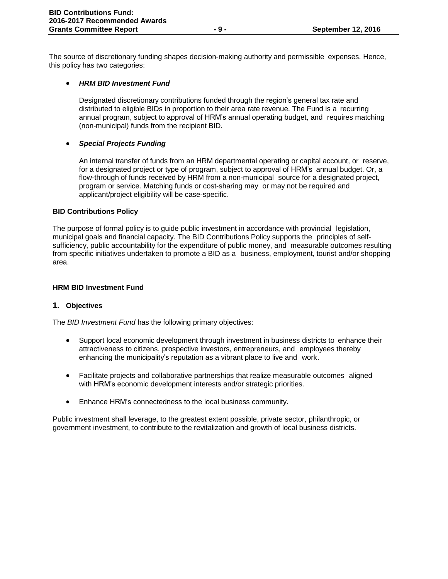The source of discretionary funding shapes decision-making authority and permissible expenses. Hence, this policy has two categories:

# *HRM BID Investment Fund*

Designated discretionary contributions funded through the region's general tax rate and distributed to eligible BIDs in proportion to their area rate revenue. The Fund is a recurring annual program, subject to approval of HRM's annual operating budget, and requires matching (non-municipal) funds from the recipient BID.

# *Special Projects Funding*

An internal transfer of funds from an HRM departmental operating or capital account, or reserve, for a designated project or type of program, subject to approval of HRM's annual budget. Or, a flow-through of funds received by HRM from a non-municipal source for a designated project, program or service. Matching funds or cost-sharing may or may not be required and applicant/project eligibility will be case-specific.

# **BID Contributions Policy**

The purpose of formal policy is to guide public investment in accordance with provincial legislation, municipal goals and financial capacity. The BID Contributions Policy supports the principles of selfsufficiency, public accountability for the expenditure of public money, and measurable outcomes resulting from specific initiatives undertaken to promote a BID as a business, employment, tourist and/or shopping area.

#### **HRM BID Investment Fund**

# **1. Objectives**

The *BID Investment Fund* has the following primary objectives:

- Support local economic development through investment in business districts to enhance their attractiveness to citizens, prospective investors, entrepreneurs, and employees thereby enhancing the municipality's reputation as a vibrant place to live and work.
- Facilitate projects and collaborative partnerships that realize measurable outcomes aligned with HRM's economic development interests and/or strategic priorities.
- Enhance HRM's connectedness to the local business community.

Public investment shall leverage, to the greatest extent possible, private sector, philanthropic, or government investment, to contribute to the revitalization and growth of local business districts.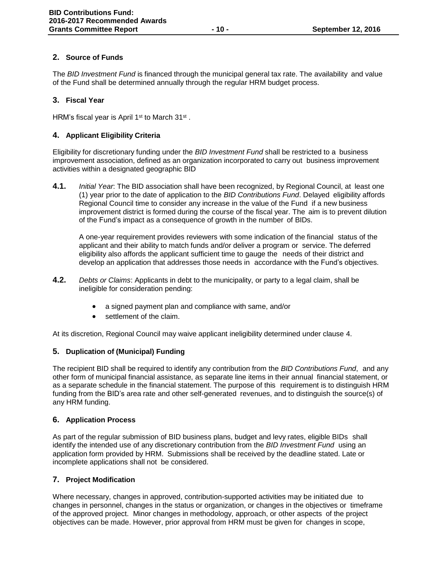# **2. Source of Funds**

The *BID Investment Fund* is financed through the municipal general tax rate. The availability and value of the Fund shall be determined annually through the regular HRM budget process.

# **3. Fiscal Year**

HRM's fiscal year is April 1<sup>st</sup> to March 31<sup>st</sup>.

# **4. Applicant Eligibility Criteria**

Eligibility for discretionary funding under the *BID Investment Fund* shall be restricted to a business improvement association, defined as an organization incorporated to carry out business improvement activities within a designated geographic BID

**4.1.** *Initial Year*: The BID association shall have been recognized, by Regional Council, at least one (1) year prior to the date of application to the *BID Contributions Fund*. Delayed eligibility affords Regional Council time to consider any increase in the value of the Fund if a new business improvement district is formed during the course of the fiscal year. The aim is to prevent dilution of the Fund's impact as a consequence of growth in the number of BIDs.

A one-year requirement provides reviewers with some indication of the financial status of the applicant and their ability to match funds and/or deliver a program or service. The deferred eligibility also affords the applicant sufficient time to gauge the needs of their district and develop an application that addresses those needs in accordance with the Fund's objectives.

- **4.2.** *Debts or Claims*: Applicants in debt to the municipality, or party to a legal claim, shall be ineligible for consideration pending:
	- a signed payment plan and compliance with same, and/or
	- settlement of the claim.

At its discretion, Regional Council may waive applicant ineligibility determined under clause 4.

# **5. Duplication of (Municipal) Funding**

The recipient BID shall be required to identify any contribution from the *BID Contributions Fund*, and any other form of municipal financial assistance, as separate line items in their annual financial statement, or as a separate schedule in the financial statement. The purpose of this requirement is to distinguish HRM funding from the BID's area rate and other self-generated revenues, and to distinguish the source(s) of any HRM funding.

# **6. Application Process**

As part of the regular submission of BID business plans, budget and levy rates, eligible BIDs shall identify the intended use of any discretionary contribution from the *BID Investment Fund* using an application form provided by HRM. Submissions shall be received by the deadline stated. Late or incomplete applications shall not be considered.

# **7. Project Modification**

Where necessary, changes in approved, contribution-supported activities may be initiated due to changes in personnel, changes in the status or organization, or changes in the objectives or timeframe of the approved project. Minor changes in methodology, approach, or other aspects of the project objectives can be made. However, prior approval from HRM must be given for changes in scope,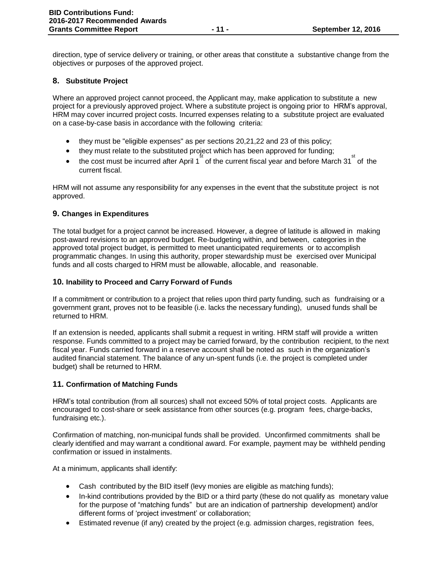direction, type of service delivery or training, or other areas that constitute a substantive change from the objectives or purposes of the approved project.

# **8. Substitute Project**

Where an approved project cannot proceed, the Applicant may, make application to substitute a new project for a previously approved project. Where a substitute project is ongoing prior to HRM's approval, HRM may cover incurred project costs. Incurred expenses relating to a substitute project are evaluated on a case-by-case basis in accordance with the following criteria:

- they must be "eligible expenses" as per sections 20,21,22 and 23 of this policy;
- they must relate to the substituted project which has been approved for funding;
- the cost must be incurred after April 1<sup>st</sup> of the current fiscal year and before March 31<sup>st</sup> of the current fiscal.

HRM will not assume any responsibility for any expenses in the event that the substitute project is not approved.

# **9. Changes in Expenditures**

The total budget for a project cannot be increased. However, a degree of latitude is allowed in making post-award revisions to an approved budget. Re-budgeting within, and between, categories in the approved total project budget, is permitted to meet unanticipated requirements or to accomplish programmatic changes. In using this authority, proper stewardship must be exercised over Municipal funds and all costs charged to HRM must be allowable, allocable, and reasonable.

# **10. Inability to Proceed and Carry Forward of Funds**

If a commitment or contribution to a project that relies upon third party funding, such as fundraising or a government grant, proves not to be feasible (i.e. lacks the necessary funding), unused funds shall be returned to HRM.

If an extension is needed, applicants shall submit a request in writing. HRM staff will provide a written response. Funds committed to a project may be carried forward, by the contribution recipient, to the next fiscal year. Funds carried forward in a reserve account shall be noted as such in the organization's audited financial statement. The balance of any un-spent funds (i.e. the project is completed under budget) shall be returned to HRM.

# **11. Confirmation of Matching Funds**

HRM's total contribution (from all sources) shall not exceed 50% of total project costs. Applicants are encouraged to cost-share or seek assistance from other sources (e.g. program fees, charge-backs, fundraising etc.).

Confirmation of matching, non-municipal funds shall be provided. Unconfirmed commitments shall be clearly identified and may warrant a conditional award. For example, payment may be withheld pending confirmation or issued in instalments.

At a minimum, applicants shall identify:

- Cash contributed by the BID itself (levy monies are eligible as matching funds);
- In-kind contributions provided by the BID or a third party (these do not qualify as monetary value for the purpose of "matching funds" but are an indication of partnership development) and/or different forms of 'project investment' or collaboration;
- Estimated revenue (if any) created by the project (e.g. admission charges, registration fees,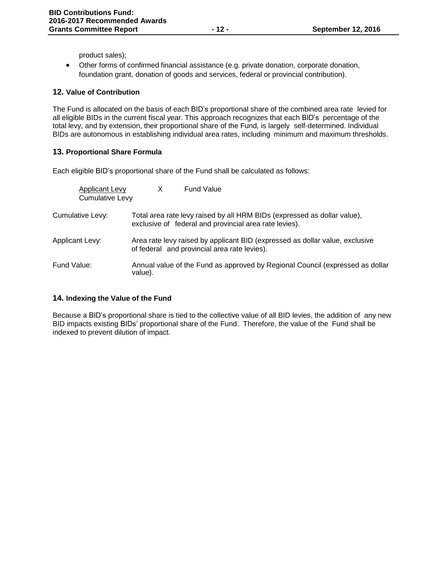product sales);

 Other forms of confirmed financial assistance (e.g. private donation, corporate donation, foundation grant, donation of goods and services, federal or provincial contribution).

# **12. Value of Contribution**

The Fund is allocated on the basis of each BID's proportional share of the combined area rate levied for all eligible BIDs in the current fiscal year. This approach recognizes that each BID's percentage of the total levy, and by extension, their proportional share of the Fund*,* is largely self-determined. Individual BIDs are autonomous in establishing individual area rates, including minimum and maximum thresholds.

# **13. Proportional Share Formula**

Each eligible BID's proportional share of the Fund shall be calculated as follows:

| Applicant Levy<br><b>Cumulative Levy</b> |         | <b>Fund Value</b>                                                                                                                  |
|------------------------------------------|---------|------------------------------------------------------------------------------------------------------------------------------------|
| Cumulative Levy:                         |         | Total area rate levy raised by all HRM BIDs (expressed as dollar value),<br>exclusive of federal and provincial area rate levies). |
| Applicant Levy:                          |         | Area rate levy raised by applicant BID (expressed as dollar value, exclusive<br>of federal and provincial area rate levies).       |
| Fund Value:                              | value). | Annual value of the Fund as approved by Regional Council (expressed as dollar                                                      |

# **14. Indexing the Value of the Fund**

Because a BID's proportional share is tied to the collective value of all BID levies, the addition of any new BID impacts existing BIDs' proportional share of the Fund. Therefore, the value of the Fund shall be indexed to prevent dilution of impact.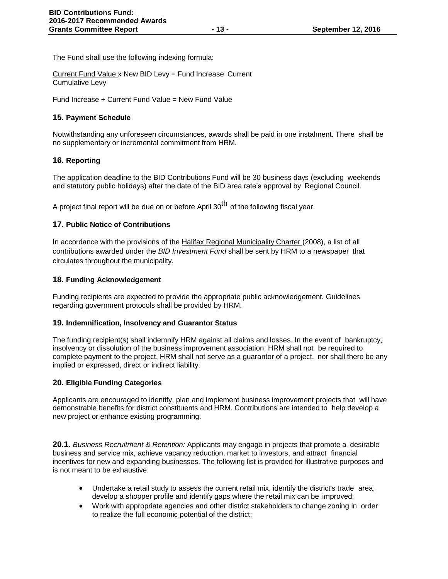The Fund shall use the following indexing formula:

Current Fund Value x New BID Levy = Fund Increase Current Cumulative Levy

Fund Increase + Current Fund Value = New Fund Value

# **15. Payment Schedule**

Notwithstanding any unforeseen circumstances, awards shall be paid in one instalment. There shall be no supplementary or incremental commitment from HRM.

# **16. Reporting**

The application deadline to the BID Contributions Fund will be 30 business days (excluding weekends and statutory public holidays) after the date of the BID area rate's approval by Regional Council.

A project final report will be due on or before April 30<sup>th</sup> of the following fiscal year.

# **17. Public Notice of Contributions**

In accordance with the provisions of the Halifax Regional Municipality Charter (2008), a list of all contributions awarded under the *BID Investment Fund* shall be sent by HRM to a newspaper that circulates throughout the municipality.

# **18. Funding Acknowledgement**

Funding recipients are expected to provide the appropriate public acknowledgement. Guidelines regarding government protocols shall be provided by HRM.

# **19. Indemnification, Insolvency and Guarantor Status**

The funding recipient(s) shall indemnify HRM against all claims and losses. In the event of bankruptcy, insolvency or dissolution of the business improvement association, HRM shall not be required to complete payment to the project. HRM shall not serve as a guarantor of a project, nor shall there be any implied or expressed, direct or indirect liability.

# **20. Eligible Funding Categories**

Applicants are encouraged to identify, plan and implement business improvement projects that will have demonstrable benefits for district constituents and HRM. Contributions are intended to help develop a new project or enhance existing programming.

**20.1.** *Business Recruitment & Retention:* Applicants may engage in projects that promote a desirable business and service mix, achieve vacancy reduction, market to investors, and attract financial incentives for new and expanding businesses. The following list is provided for illustrative purposes and is not meant to be exhaustive:

- Undertake a retail study to assess the current retail mix, identify the district's trade area, develop a shopper profile and identify gaps where the retail mix can be improved;
- Work with appropriate agencies and other district stakeholders to change zoning in order to realize the full economic potential of the district;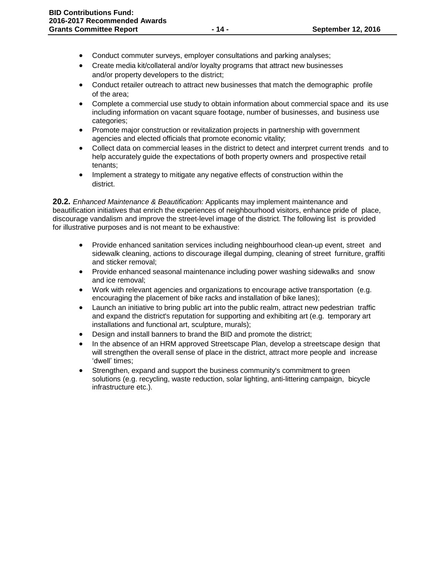- Conduct commuter surveys, employer consultations and parking analyses;
- Create media kit/collateral and/or loyalty programs that attract new businesses and/or property developers to the district;
- Conduct retailer outreach to attract new businesses that match the demographic profile of the area;
- Complete a commercial use study to obtain information about commercial space and its use including information on vacant square footage, number of businesses, and business use categories;
- Promote major construction or revitalization projects in partnership with government agencies and elected officials that promote economic vitality;
- Collect data on commercial leases in the district to detect and interpret current trends and to help accurately guide the expectations of both property owners and prospective retail tenants;
- Implement a strategy to mitigate any negative effects of construction within the district.

**20.2.** *Enhanced Maintenance & Beautification:* Applicants may implement maintenance and beautification initiatives that enrich the experiences of neighbourhood visitors, enhance pride of place, discourage vandalism and improve the street-level image of the district. The following list is provided for illustrative purposes and is not meant to be exhaustive:

- Provide enhanced sanitation services including neighbourhood clean-up event, street and sidewalk cleaning, actions to discourage illegal dumping, cleaning of street furniture, graffiti and sticker removal;
- Provide enhanced seasonal maintenance including power washing sidewalks and snow and ice removal;
- Work with relevant agencies and organizations to encourage active transportation (e.g. encouraging the placement of bike racks and installation of bike lanes);
- Launch an initiative to bring public art into the public realm, attract new pedestrian traffic and expand the district's reputation for supporting and exhibiting art (e.g. temporary art installations and functional art, sculpture, murals);
- Design and install banners to brand the BID and promote the district;
- In the absence of an HRM approved Streetscape Plan, develop a streetscape design that will strengthen the overall sense of place in the district, attract more people and increase 'dwell' times;
- Strengthen, expand and support the business community's commitment to green solutions (e.g. recycling, waste reduction, solar lighting, anti-littering campaign, bicycle infrastructure etc.).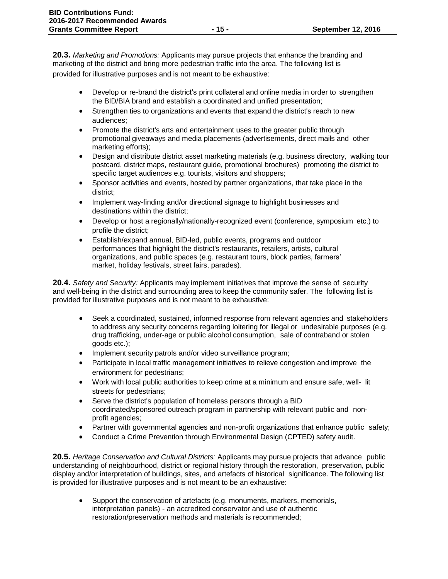**20.3.** *Marketing and Promotions:* Applicants may pursue projects that enhance the branding and marketing of the district and bring more pedestrian traffic into the area. The following list is provided for illustrative purposes and is not meant to be exhaustive:

- Develop or re-brand the district's print collateral and online media in order to strengthen the BID/BIA brand and establish a coordinated and unified presentation;
- Strengthen ties to organizations and events that expand the district's reach to new audiences;
- Promote the district's arts and entertainment uses to the greater public through promotional giveaways and media placements (advertisements, direct mails and other marketing efforts);
- Design and distribute district asset marketing materials (e.g. business directory, walking tour postcard, district maps, restaurant guide, promotional brochures) promoting the district to specific target audiences e.g. tourists, visitors and shoppers;
- Sponsor activities and events, hosted by partner organizations, that take place in the district;
- Implement way-finding and/or directional signage to highlight businesses and destinations within the district;
- Develop or host a regionally/nationally-recognized event (conference, symposium etc.) to profile the district;
- Establish/expand annual, BID-led, public events, programs and outdoor performances that highlight the district's restaurants, retailers, artists, cultural organizations, and public spaces (e.g. restaurant tours, block parties, farmers' market, holiday festivals, street fairs, parades).

**20.4.** *Safety and Security:* Applicants may implement initiatives that improve the sense of security and well-being in the district and surrounding area to keep the community safer. The following list is provided for illustrative purposes and is not meant to be exhaustive:

- Seek a coordinated, sustained, informed response from relevant agencies and stakeholders to address any security concerns regarding loitering for illegal or undesirable purposes (e.g. drug trafficking, under-age or public alcohol consumption, sale of contraband or stolen goods etc.);
- Implement security patrols and/or video surveillance program;
- Participate in local traffic management initiatives to relieve congestion and improve the environment for pedestrians;
- Work with local public authorities to keep crime at a minimum and ensure safe, well- lit streets for pedestrians;
- Serve the district's population of homeless persons through a BID coordinated/sponsored outreach program in partnership with relevant public and nonprofit agencies;
- Partner with governmental agencies and non-profit organizations that enhance public safety;
- Conduct a Crime Prevention through Environmental Design (CPTED) safety audit.

**20.5.** *Heritage Conservation and Cultural Districts:* Applicants may pursue projects that advance public understanding of neighbourhood, district or regional history through the restoration, preservation, public display and/or interpretation of buildings, sites, and artefacts of historical significance. The following list is provided for illustrative purposes and is not meant to be an exhaustive:

 Support the conservation of artefacts (e.g. monuments, markers, memorials, interpretation panels) - an accredited conservator and use of authentic restoration/preservation methods and materials is recommended;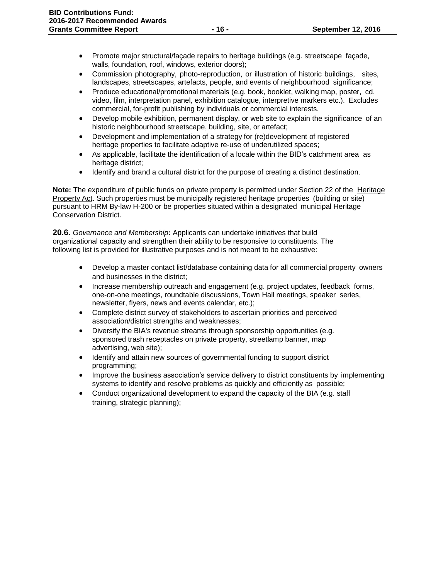- Promote major structural/façade repairs to heritage buildings (e.g. streetscape façade, walls, foundation, roof, windows, exterior doors);
- Commission photography, photo-reproduction, or illustration of historic buildings, sites, landscapes, streetscapes, artefacts, people, and events of neighbourhood significance;
- Produce educational/promotional materials (e.g. book, booklet, walking map, poster, cd, video, film, interpretation panel, exhibition catalogue, interpretive markers etc.). Excludes commercial, for-profit publishing by individuals or commercial interests.
- Develop mobile exhibition, permanent display, or web site to explain the significance of an historic neighbourhood streetscape, building, site, or artefact;
- Development and implementation of a strategy for (re)development of registered heritage properties to facilitate adaptive re-use of underutilized spaces;
- As applicable, facilitate the identification of a locale within the BID's catchment area as heritage district;
- Identify and brand a cultural district for the purpose of creating a distinct destination.

**Note:** The expenditure of public funds on private property is permitted under Section 22 of the Heritage Property Act. Such properties must be municipally registered heritage properties (building or site) pursuant to HRM By-law H-200 or be properties situated within a designated municipal Heritage Conservation District.

**20.6.** *Governance and Membership***:** Applicants can undertake initiatives that build organizational capacity and strengthen their ability to be responsive to constituents. The following list is provided for illustrative purposes and is not meant to be exhaustive:

- Develop a master contact list/database containing data for all commercial property owners and businesses in the district;
- Increase membership outreach and engagement (e.g. project updates, feedback forms, one-on-one meetings, roundtable discussions, Town Hall meetings, speaker series, newsletter, flyers, news and events calendar, etc.);
- Complete district survey of stakeholders to ascertain priorities and perceived association/district strengths and weaknesses;
- Diversify the BIA's revenue streams through sponsorship opportunities (e.g. sponsored trash receptacles on private property, streetlamp banner, map advertising, web site);
- Identify and attain new sources of governmental funding to support district programming;
- Improve the business association's service delivery to district constituents by implementing systems to identify and resolve problems as quickly and efficiently as possible;
- Conduct organizational development to expand the capacity of the BIA (e.g. staff training, strategic planning);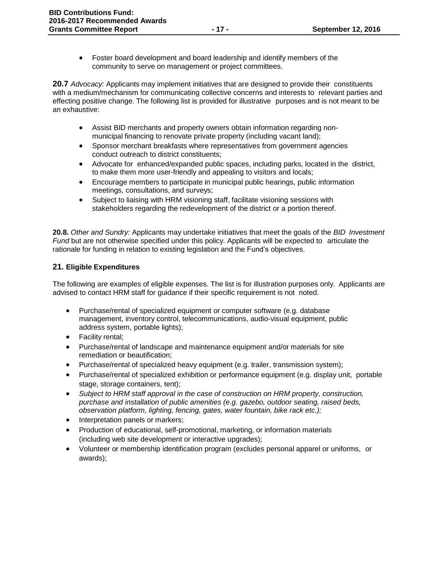Foster board development and board leadership and identify members of the community to serve on management or project committees.

**20.7** *Advocacy:* Applicants may implement initiatives that are designed to provide their constituents with a medium/mechanism for communicating collective concerns and interests to relevant parties and effecting positive change. The following list is provided for illustrative purposes and is not meant to be an exhaustive:

- Assist BID merchants and property owners obtain information regarding nonmunicipal financing to renovate private property (including vacant land);
- Sponsor merchant breakfasts where representatives from government agencies conduct outreach to district constituents;
- Advocate for enhanced/expanded public spaces, including parks, located in the district, to make them more user-friendly and appealing to visitors and locals;
- Encourage members to participate in municipal public hearings, public information meetings, consultations, and surveys;
- Subject to liaising with HRM visioning staff, facilitate visioning sessions with stakeholders regarding the redevelopment of the district or a portion thereof.

**20.8.** *Other and Sundry:* Applicants may undertake initiatives that meet the goals of the *BID Investment Fund* but are not otherwise specified under this policy. Applicants will be expected to articulate the rationale for funding in relation to existing legislation and the Fund's objectives.

# **21. Eligible Expenditures**

The following are examples of eligible expenses. The list is for illustration purposes only. Applicants are advised to contact HRM staff for guidance if their specific requirement is not noted.

- Purchase/rental of specialized equipment or computer software (e.g. database management, inventory control, telecommunications, audio-visual equipment, public address system, portable lights);
- Facility rental;
- Purchase/rental of landscape and maintenance equipment and/or materials for site remediation or beautification;
- Purchase/rental of specialized heavy equipment (e.g. trailer, transmission system);
- Purchase/rental of specialized exhibition or performance equipment (e.g. display unit, portable stage, storage containers, tent);
- *Subject to HRM staff approval in the case of construction on HRM property, construction, purchase and installation of public amenities (e.g. gazebo, outdoor seating, raised beds, observation platform, lighting, fencing, gates, water fountain, bike rack etc.);*
- Interpretation panels or markers;
- Production of educational, self-promotional, marketing, or information materials (including web site development or interactive upgrades);
- Volunteer or membership identification program (excludes personal apparel or uniforms, or awards);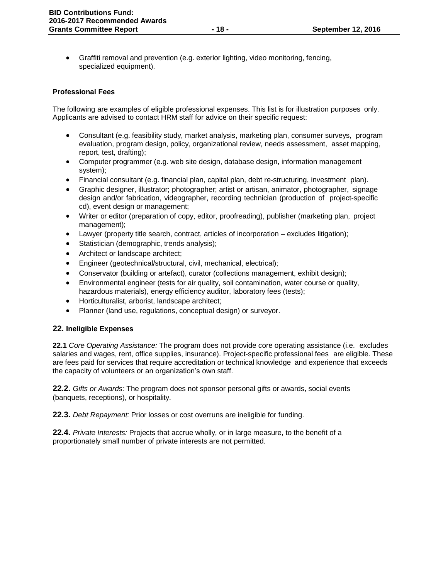Graffiti removal and prevention (e.g. exterior lighting, video monitoring, fencing, specialized equipment).

#### **Professional Fees**

The following are examples of eligible professional expenses. This list is for illustration purposes only. Applicants are advised to contact HRM staff for advice on their specific request:

- Consultant (e.g. feasibility study, market analysis, marketing plan, consumer surveys, program evaluation, program design, policy, organizational review, needs assessment, asset mapping, report, test, drafting);
- Computer programmer (e.g. web site design, database design, information management system);
- Financial consultant (e.g. financial plan, capital plan, debt re-structuring, investment plan).
- Graphic designer, illustrator; photographer; artist or artisan, animator, photographer, signage design and/or fabrication, videographer, recording technician (production of project-specific cd), event design or management;
- Writer or editor (preparation of copy, editor, proofreading), publisher (marketing plan, project management);
- Lawyer (property title search, contract, articles of incorporation excludes litigation);
- Statistician (demographic, trends analysis);
- Architect or landscape architect;
- Engineer (geotechnical/structural, civil, mechanical, electrical);
- Conservator (building or artefact), curator (collections management, exhibit design);
- Environmental engineer (tests for air quality, soil contamination, water course or quality, hazardous materials), energy efficiency auditor, laboratory fees (tests);
- Horticulturalist, arborist, landscape architect;
- Planner (land use, regulations, conceptual design) or surveyor.

# **22. Ineligible Expenses**

**22.1** *Core Operating Assistance:* The program does not provide core operating assistance (i.e. excludes salaries and wages, rent, office supplies, insurance). Project-specific professional fees are eligible. These are fees paid for services that require accreditation or technical knowledge and experience that exceeds the capacity of volunteers or an organization's own staff.

**22.2.** *Gifts or Awards:* The program does not sponsor personal gifts or awards, social events (banquets, receptions), or hospitality.

**22.3.** *Debt Repayment:* Prior losses or cost overruns are ineligible for funding.

**22.4.** *Private Interests:* Projects that accrue wholly, or in large measure, to the benefit of a proportionately small number of private interests are not permitted.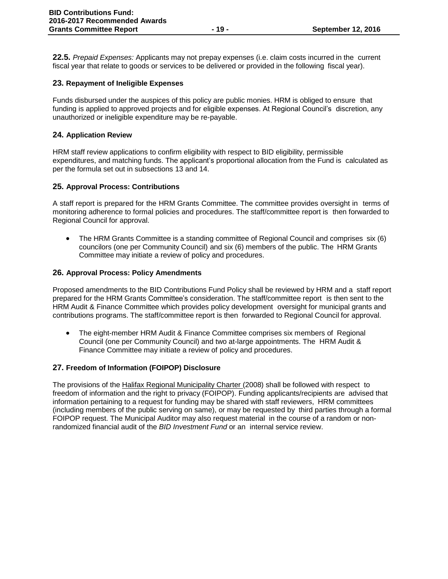**22.5.** *Prepaid Expenses:* Applicants may not prepay expenses (i.e. claim costs incurred in the current fiscal year that relate to goods or services to be delivered or provided in the following fiscal year).

# **23. Repayment of Ineligible Expenses**

Funds disbursed under the auspices of this policy are public monies. HRM is obliged to ensure that funding is applied to approved projects and for eligible expenses. At Regional Council's discretion, any unauthorized or ineligible expenditure may be re-payable.

# **24. Application Review**

HRM staff review applications to confirm eligibility with respect to BID eligibility, permissible expenditures, and matching funds. The applicant's proportional allocation from the Fund is calculated as per the formula set out in subsections 13 and 14.

# **25. Approval Process: Contributions**

A staff report is prepared for the HRM Grants Committee. The committee provides oversight in terms of monitoring adherence to formal policies and procedures. The staff/committee report is then forwarded to Regional Council for approval.

 The HRM Grants Committee is a standing committee of Regional Council and comprises six (6) councilors (one per Community Council) and six (6) members of the public. The HRM Grants Committee may initiate a review of policy and procedures.

# **26. Approval Process: Policy Amendments**

Proposed amendments to the BID Contributions Fund Policy shall be reviewed by HRM and a staff report prepared for the HRM Grants Committee's consideration. The staff/committee report is then sent to the HRM Audit & Finance Committee which provides policy development oversight for municipal grants and contributions programs. The staff/committee report is then forwarded to Regional Council for approval.

 The eight-member HRM Audit & Finance Committee comprises six members of Regional Council (one per Community Council) and two at-large appointments. The HRM Audit & Finance Committee may initiate a review of policy and procedures.

# **27. Freedom of Information (FOIPOP) Disclosure**

The provisions of the Halifax Regional Municipality Charter (2008) shall be followed with respect to freedom of information and the right to privacy (FOIPOP). Funding applicants/recipients are advised that information pertaining to a request for funding may be shared with staff reviewers, HRM committees (including members of the public serving on same), or may be requested by third parties through a formal FOIPOP request. The Municipal Auditor may also request material in the course of a random or nonrandomized financial audit of the *BID Investment Fund* or an internal service review.